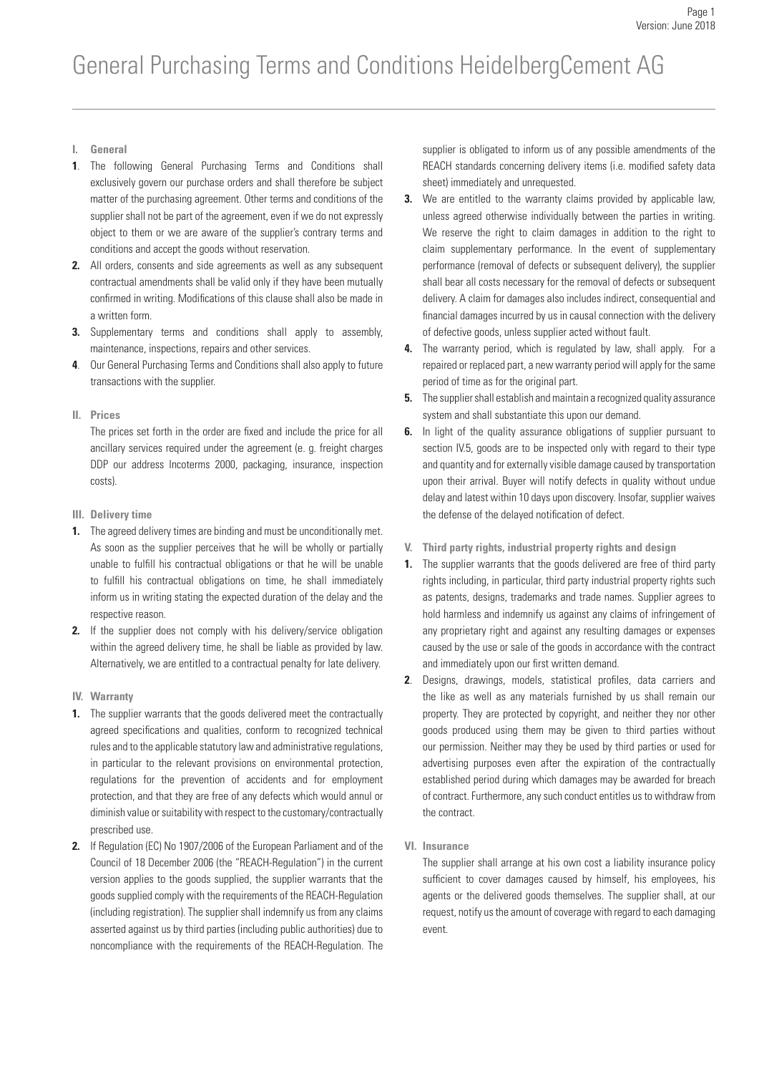- **I. General**
- **1**. The following General Purchasing Terms and Conditions shall exclusively govern our purchase orders and shall therefore be subject matter of the purchasing agreement. Other terms and conditions of the supplier shall not be part of the agreement, even if we do not expressly object to them or we are aware of the supplier's contrary terms and conditions and accept the goods without reservation.
- **2.** All orders, consents and side agreements as well as any subsequent contractual amendments shall be valid only if they have been mutually confirmed in writing. Modifications of this clause shall also be made in a written form.
- **3.** Supplementary terms and conditions shall apply to assembly, maintenance, inspections, repairs and other services.
- **4**. Our General Purchasing Terms and Conditions shall also apply to future transactions with the supplier.

## **II. Prices**

The prices set forth in the order are fixed and include the price for all ancillary services required under the agreement (e. g. freight charges DDP our address Incoterms 2000, packaging, insurance, inspection costs).

- **III. Delivery time**
- **1.** The agreed delivery times are binding and must be unconditionally met. As soon as the supplier perceives that he will be wholly or partially unable to fulfill his contractual obligations or that he will be unable to fulfill his contractual obligations on time, he shall immediately inform us in writing stating the expected duration of the delay and the respective reason.
- **2.** If the supplier does not comply with his delivery/service obligation within the agreed delivery time, he shall be liable as provided by law. Alternatively, we are entitled to a contractual penalty for late delivery.
- **IV. Warranty**
- **1.** The supplier warrants that the goods delivered meet the contractually agreed specifications and qualities, conform to recognized technical rules and to the applicable statutory law and administrative regulations, in particular to the relevant provisions on environmental protection, regulations for the prevention of accidents and for employment protection, and that they are free of any defects which would annul or diminish value or suitability with respect to the customary/contractually prescribed use.
- **2.** If Regulation (EC) No 1907/2006 of the European Parliament and of the Council of 18 December 2006 (the "REACH-Regulation") in the current version applies to the goods supplied, the supplier warrants that the goods supplied comply with the requirements of the REACH-Regulation (including registration). The supplier shall indemnify us from any claims asserted against us by third parties (including public authorities) due to noncompliance with the requirements of the REACH-Regulation. The

supplier is obligated to inform us of any possible amendments of the REACH standards concerning delivery items (i.e. modified safety data sheet) immediately and unrequested.

- **3.** We are entitled to the warranty claims provided by applicable law, unless agreed otherwise individually between the parties in writing. We reserve the right to claim damages in addition to the right to claim supplementary performance. In the event of supplementary performance (removal of defects or subsequent delivery), the supplier shall bear all costs necessary for the removal of defects or subsequent delivery. A claim for damages also includes indirect, consequential and financial damages incurred by us in causal connection with the delivery of defective goods, unless supplier acted without fault.
- **4.** The warranty period, which is regulated by law, shall apply. For a repaired or replaced part, a new warranty period will apply for the same period of time as for the original part.
- **5.** The supplier shall establish and maintain a recognized quality assurance system and shall substantiate this upon our demand.
- **6.** In light of the quality assurance obligations of supplier pursuant to section IV.5, goods are to be inspected only with regard to their type and quantity and for externally visible damage caused by transportation upon their arrival. Buyer will notify defects in quality without undue delay and latest within 10 days upon discovery. Insofar, supplier waives the defense of the delayed notification of defect.
- **V. Third party rights, industrial property rights and design**
- **1.** The supplier warrants that the goods delivered are free of third party rights including, in particular, third party industrial property rights such as patents, designs, trademarks and trade names. Supplier agrees to hold harmless and indemnify us against any claims of infringement of any proprietary right and against any resulting damages or expenses caused by the use or sale of the goods in accordance with the contract and immediately upon our first written demand.
- **2**. Designs, drawings, models, statistical profiles, data carriers and the like as well as any materials furnished by us shall remain our property. They are protected by copyright, and neither they nor other goods produced using them may be given to third parties without our permission. Neither may they be used by third parties or used for advertising purposes even after the expiration of the contractually established period during which damages may be awarded for breach of contract. Furthermore, any such conduct entitles us to withdraw from the contract.
- **VI. Insurance**

The supplier shall arrange at his own cost a liability insurance policy sufficient to cover damages caused by himself, his employees, his agents or the delivered goods themselves. The supplier shall, at our request, notify us the amount of coverage with regard to each damaging event.